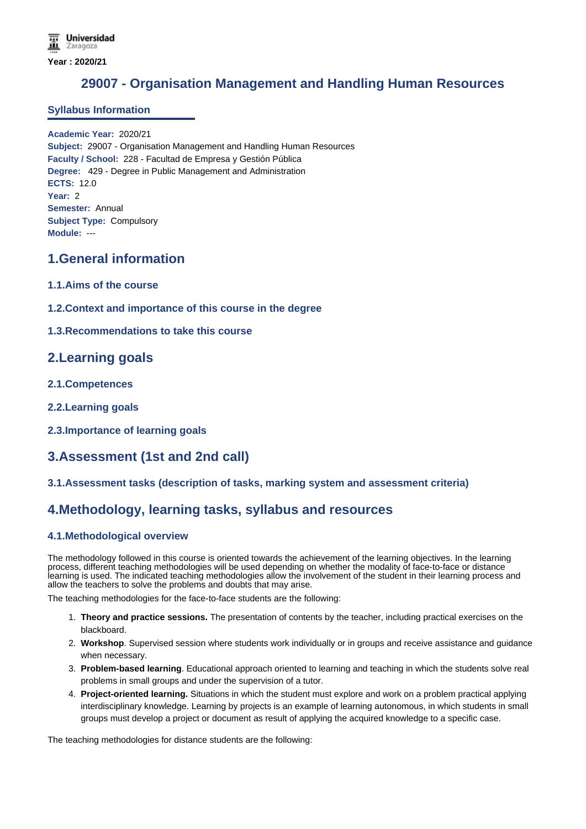# **29007 - Organisation Management and Handling Human Resources**

#### **Syllabus Information**

**Academic Year:** 2020/21 **Subject:** 29007 - Organisation Management and Handling Human Resources **Faculty / School:** 228 - Facultad de Empresa y Gestión Pública **Degree:** 429 - Degree in Public Management and Administration **ECTS:** 12.0 **Year:** 2 **Semester:** Annual **Subject Type:** Compulsory **Module:** ---

## **1.General information**

- **1.1.Aims of the course**
- **1.2.Context and importance of this course in the degree**

### **1.3.Recommendations to take this course**

## **2.Learning goals**

- **2.1.Competences**
- **2.2.Learning goals**
- **2.3.Importance of learning goals**

## **3.Assessment (1st and 2nd call)**

**3.1.Assessment tasks (description of tasks, marking system and assessment criteria)**

## **4.Methodology, learning tasks, syllabus and resources**

#### **4.1.Methodological overview**

The methodology followed in this course is oriented towards the achievement of the learning objectives. In the learning process, different teaching methodologies will be used depending on whether the modality of face-to-face or distance learning is used. The indicated teaching methodologies allow the involvement of the student in their learning process and allow the teachers to solve the problems and doubts that may arise.

The teaching methodologies for the face-to-face students are the following:

- 1. **Theory and practice sessions.** The presentation of contents by the teacher, including practical exercises on the blackboard.
- 2. **Workshop**. Supervised session where students work individually or in groups and receive assistance and guidance when necessary.
- 3. **Problem-based learning**. Educational approach oriented to learning and teaching in which the students solve real problems in small groups and under the supervision of a tutor.
- 4. **Project-oriented learning.** Situations in which the student must explore and work on a problem practical applying interdisciplinary knowledge. Learning by projects is an example of learning autonomous, in which students in small groups must develop a project or document as result of applying the acquired knowledge to a specific case.

The teaching methodologies for distance students are the following: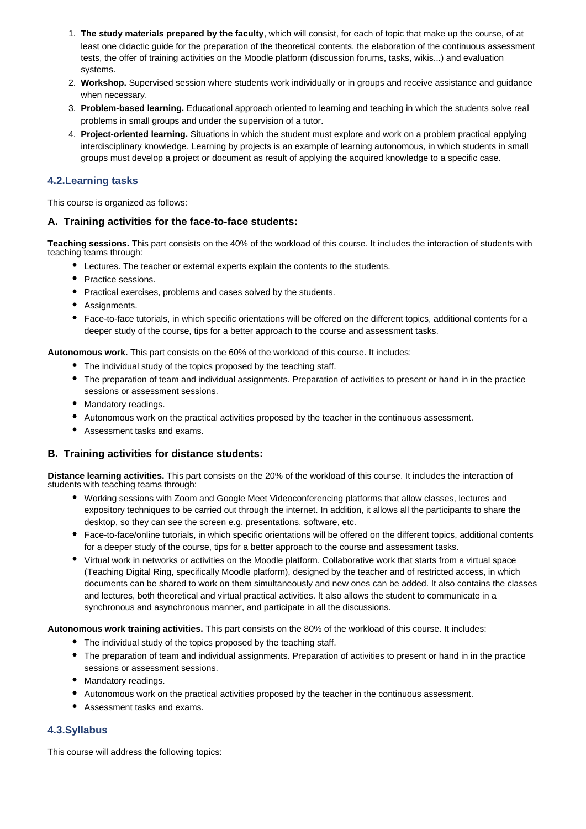- 1. **The study materials prepared by the faculty**, which will consist, for each of topic that make up the course, of at least one didactic guide for the preparation of the theoretical contents, the elaboration of the continuous assessment tests, the offer of training activities on the Moodle platform (discussion forums, tasks, wikis...) and evaluation systems.
- 2. **Workshop.** Supervised session where students work individually or in groups and receive assistance and guidance when necessary.
- 3. **Problem-based learning.** Educational approach oriented to learning and teaching in which the students solve real problems in small groups and under the supervision of a tutor.
- 4. **Project-oriented learning.** Situations in which the student must explore and work on a problem practical applying interdisciplinary knowledge. Learning by projects is an example of learning autonomous, in which students in small groups must develop a project or document as result of applying the acquired knowledge to a specific case.

#### **4.2.Learning tasks**

This course is organized as follows:

#### **A. Training activities for the face-to-face students:**

**Teaching sessions.** This part consists on the 40% of the workload of this course. It includes the interaction of students with teaching teams through:

- Lectures. The teacher or external experts explain the contents to the students.
- Practice sessions.
- Practical exercises, problems and cases solved by the students.
- Assignments.
- Face-to-face tutorials, in which specific orientations will be offered on the different topics, additional contents for a deeper study of the course, tips for a better approach to the course and assessment tasks.

**Autonomous work.** This part consists on the 60% of the workload of this course. It includes:

- The individual study of the topics proposed by the teaching staff.
- The preparation of team and individual assignments. Preparation of activities to present or hand in in the practice sessions or assessment sessions.
- Mandatory readings.
- Autonomous work on the practical activities proposed by the teacher in the continuous assessment.
- Assessment tasks and exams.

#### **B. Training activities for distance students:**

**Distance learning activities.** This part consists on the 20% of the workload of this course. It includes the interaction of students with teaching teams through:

- Working sessions with Zoom and Google Meet Videoconferencing platforms that allow classes, lectures and expository techniques to be carried out through the internet. In addition, it allows all the participants to share the desktop, so they can see the screen e.g. presentations, software, etc.
- Face-to-face/online tutorials, in which specific orientations will be offered on the different topics, additional contents for a deeper study of the course, tips for a better approach to the course and assessment tasks.
- Virtual work in networks or activities on the Moodle platform. Collaborative work that starts from a virtual space (Teaching Digital Ring, specifically Moodle platform), designed by the teacher and of restricted access, in which documents can be shared to work on them simultaneously and new ones can be added. It also contains the classes and lectures, both theoretical and virtual practical activities. It also allows the student to communicate in a synchronous and asynchronous manner, and participate in all the discussions.

**Autonomous work training activities.** This part consists on the 80% of the workload of this course. It includes:

- The individual study of the topics proposed by the teaching staff.
- The preparation of team and individual assignments. Preparation of activities to present or hand in in the practice sessions or assessment sessions.
- Mandatory readings.
- Autonomous work on the practical activities proposed by the teacher in the continuous assessment.
- Assessment tasks and exams.

### **4.3.Syllabus**

This course will address the following topics: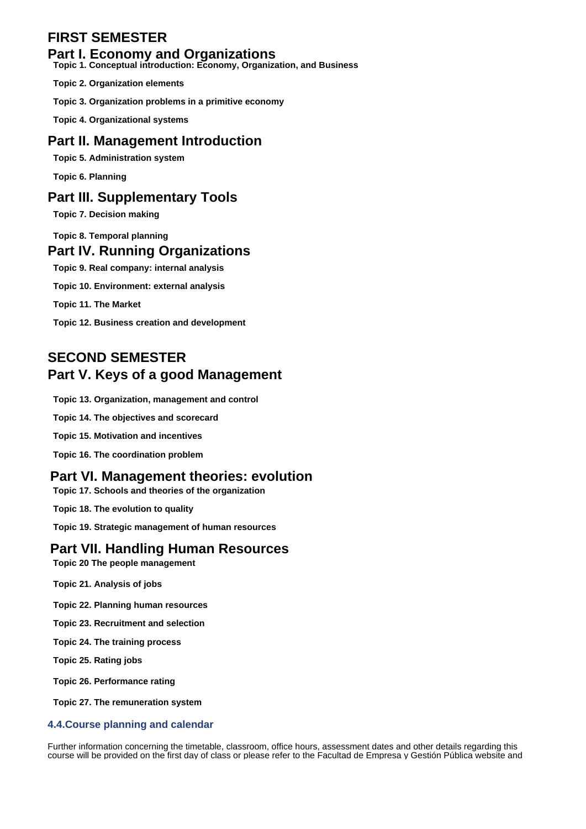# **FIRST SEMESTER**

### **Part I. Economy and Organizations**

**Topic 1. Conceptual introduction: Economy, Organization, and Business**

**Topic 2. Organization elements**

**Topic 3. Organization problems in a primitive economy**

**Topic 4. Organizational systems**

## **Part II. Management Introduction**

**Topic 5. Administration system**

**Topic 6. Planning**

## **Part III. Supplementary Tools**

**Topic 7. Decision making**

**Topic 8. Temporal planning**

## **Part IV. Running Organizations**

**Topic 9. Real company: internal analysis**

**Topic 10. Environment: external analysis**

**Topic 11. The Market**

**Topic 12. Business creation and development**

# **SECOND SEMESTER Part V. Keys of a good Management**

**Topic 13. Organization, management and control**

**Topic 14. The objectives and scorecard**

**Topic 15. Motivation and incentives**

**Topic 16. The coordination problem**

### **Part VI. Management theories: evolution**

**Topic 17. Schools and theories of the organization**

**Topic 18. The evolution to quality**

**Topic 19. Strategic management of human resources**

### **Part VII. Handling Human Resources**

**Topic 20 The people management**

- **Topic 21. Analysis of jobs**
- **Topic 22. Planning human resources**
- **Topic 23. Recruitment and selection**
- **Topic 24. The training process**

**Topic 25. Rating jobs**

**Topic 26. Performance rating**

**Topic 27. The remuneration system**

#### **4.4.Course planning and calendar**

Further information concerning the timetable, classroom, office hours, assessment dates and other details regarding this course will be provided on the first day of class or please refer to the Facultad de Empresa y Gestión Pública website and